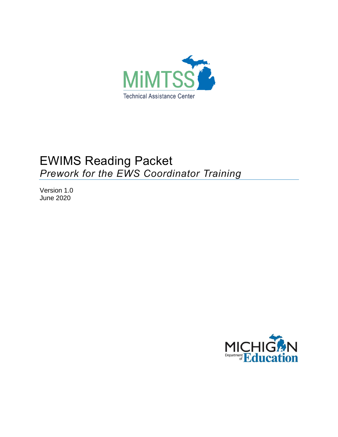

# EWIMS Reading Packet *Prework for the EWS Coordinator Training*

Version 1.0 June 2020

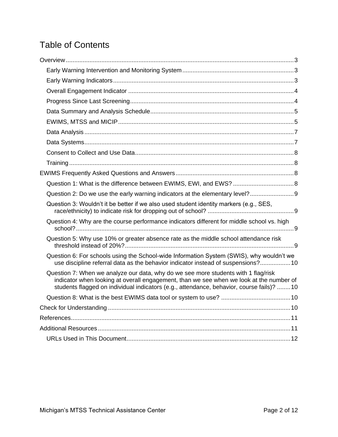## Table of Contents

| Question 2: Do we use the early warning indicators at the elementary level?9                                                                                                                                                                                              |  |
|---------------------------------------------------------------------------------------------------------------------------------------------------------------------------------------------------------------------------------------------------------------------------|--|
| Question 3: Wouldn't it be better if we also used student identity markers (e.g., SES,                                                                                                                                                                                    |  |
| Question 4: Why are the course performance indicators different for middle school vs. high                                                                                                                                                                                |  |
| Question 5: Why use 10% or greater absence rate as the middle school attendance risk                                                                                                                                                                                      |  |
| Question 6: For schools using the School-wide Information System (SWIS), why wouldn't we<br>use discipline referral data as the behavior indicator instead of suspensions?10                                                                                              |  |
| Question 7: When we analyze our data, why do we see more students with 1 flag/risk<br>indicator when looking at overall engagement, than we see when we look at the number of<br>students flagged on individual indicators (e.g., attendance, behavior, course fails)? 10 |  |
|                                                                                                                                                                                                                                                                           |  |
|                                                                                                                                                                                                                                                                           |  |
|                                                                                                                                                                                                                                                                           |  |
|                                                                                                                                                                                                                                                                           |  |
|                                                                                                                                                                                                                                                                           |  |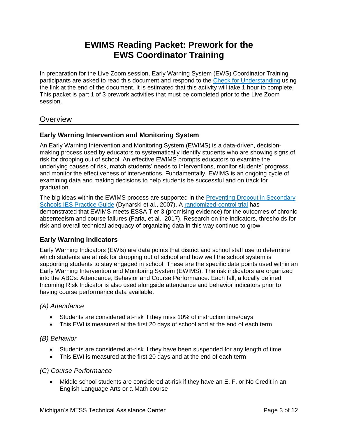## **EWIMS Reading Packet: Prework for the EWS Coordinator Training**

In preparation for the Live Zoom session, Early Warning System (EWS) Coordinator Training participants are asked to read this document and respond to the [Check for Understanding](https://www.surveygizmo.com/s3/5701363/EWIMS-Reading-Packet-Check-for-Understanding) using the link at the end of the document. It is estimated that this activity will take 1 hour to complete. This packet is part 1 of 3 prework activities that must be completed prior to the Live Zoom session.

## <span id="page-2-0"></span>**Overview**

#### <span id="page-2-1"></span>**Early Warning Intervention and Monitoring System**

An Early Warning Intervention and Monitoring System (EWIMS) is a data-driven, decisionmaking process used by educators to systematically identify students who are showing signs of risk for dropping out of school. An effective EWIMS prompts educators to examine the underlying causes of risk, match students' needs to interventions, monitor students' progress, and monitor the effectiveness of interventions. Fundamentally, EWIMS is an ongoing cycle of examining data and making decisions to help students be successful and on track for graduation.

The big ideas within the EWIMS process are supported in the [Preventing Dropout in Secondary](https://ies.ed.gov/ncee/wwc/PracticeGuide/24)  Schools [IES Practice Guide](https://ies.ed.gov/ncee/wwc/PracticeGuide/24) (Dynarski et al., 2007). A [randomized-control trial](https://ies.ed.gov/ncee/edlabs/projects/project.asp?projectID=388) has demonstrated that EWIMS meets ESSA Tier 3 (promising evidence) for the outcomes of chronic absenteeism and course failures (Faria, et al., 2017). Research on the indicators, thresholds for risk and overall technical adequacy of organizing data in this way continue to grow.

#### <span id="page-2-2"></span>**Early Warning Indicators**

Early Warning Indicators (EWIs) are data points that district and school staff use to determine which students are at risk for dropping out of school and how well the school system is supporting students to stay engaged in school. These are the specific data points used within an Early Warning Intervention and Monitoring System (EWIMS). The risk indicators are organized into the ABCs: Attendance, Behavior and Course Performance. Each fall, a locally defined Incoming Risk Indicator is also used alongside attendance and behavior indicators prior to having course performance data available.

#### *(A) Attendance*

- Students are considered at-risk if they miss 10% of instruction time/days
- This EWI is measured at the first 20 days of school and at the end of each term

#### *(B) Behavior*

- Students are considered at-risk if they have been suspended for any length of time
- This EWI is measured at the first 20 days and at the end of each term

#### *(C) Course Performance*

• Middle school students are considered at-risk if they have an E, F, or No Credit in an English Language Arts or a Math course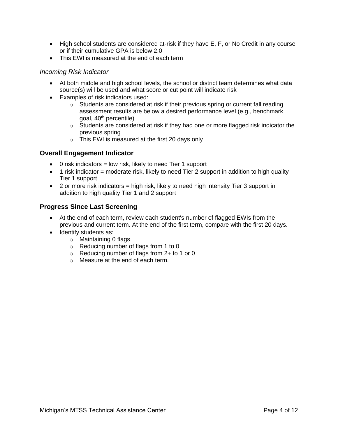- High school students are considered at-risk if they have E, F, or No Credit in any course or if their cumulative GPA is below 2.0
- This EWI is measured at the end of each term

#### *Incoming Risk Indicator*

- At both middle and high school levels, the school or district team determines what data source(s) will be used and what score or cut point will indicate risk
- Examples of risk indicators used:
	- $\circ$  Students are considered at risk if their previous spring or current fall reading assessment results are below a desired performance level (e.g., benchmark goal, 40th percentile)
	- o Students are considered at risk if they had one or more flagged risk indicator the previous spring
	- o This EWI is measured at the first 20 days only

#### <span id="page-3-0"></span>**Overall Engagement Indicator**

- $\bullet$  0 risk indicators = low risk, likely to need Tier 1 support
- $\bullet$  1 risk indicator = moderate risk, likely to need Tier 2 support in addition to high quality Tier 1 support
- $\bullet$  2 or more risk indicators = high risk, likely to need high intensity Tier 3 support in addition to high quality Tier 1 and 2 support

#### <span id="page-3-1"></span>**Progress Since Last Screening**

- At the end of each term, review each student's number of flagged EWIs from the previous and current term. At the end of the first term, compare with the first 20 days.
- Identify students as:
	- o Maintaining 0 flags
	- o Reducing number of flags from 1 to 0
	- o Reducing number of flags from 2+ to 1 or 0
	- o Measure at the end of each term.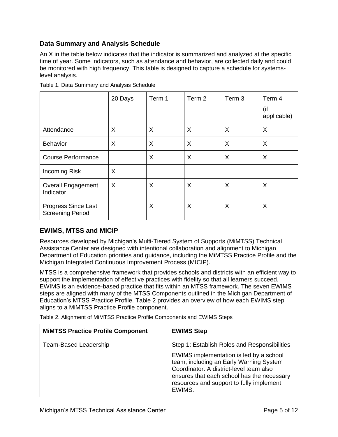### <span id="page-4-0"></span>**Data Summary and Analysis Schedule**

An X in the table below indicates that the indicator is summarized and analyzed at the specific time of year. Some indicators, such as attendance and behavior, are collected daily and could be monitored with high frequency. This table is designed to capture a schedule for systemslevel analysis.

|                                                       | 20 Days | Term 1   | Term 2 | Term 3 | Term 4<br>(if<br>applicable) |
|-------------------------------------------------------|---------|----------|--------|--------|------------------------------|
| Attendance                                            | X       | X        | X      | X      | X                            |
| <b>Behavior</b>                                       | X       | X        | X      | X      | X                            |
| <b>Course Performance</b>                             |         | $\times$ | X      | X      | X                            |
| <b>Incoming Risk</b>                                  | X       |          |        |        |                              |
| <b>Overall Engagement</b><br>Indicator                | X       | X        | X      | X      | X                            |
| <b>Progress Since Last</b><br><b>Screening Period</b> |         | X        | X      | X      | X                            |

Table 1. Data Summary and Analysis Schedule

#### <span id="page-4-1"></span>**EWIMS, MTSS and MICIP**

Resources developed by Michigan's Multi-Tiered System of Supports (MiMTSS) Technical Assistance Center are designed with intentional collaboration and alignment to Michigan Department of Education priorities and guidance, including the MiMTSS Practice Profile and the Michigan Integrated Continuous Improvement Process (MICIP).

MTSS is a comprehensive framework that provides schools and districts with an efficient way to support the implementation of effective practices with fidelity so that all learners succeed. EWIMS is an evidence-based practice that fits within an MTSS framework. The seven EWIMS steps are aligned with many of the MTSS Components outlined in the Michigan Department of Education's MTSS Practice Profile. Table 2 provides an overview of how each EWIMS step aligns to a MiMTSS Practice Profile component.

Table 2. Alignment of MiMTSS Practice Profile Components and EWIMS Steps

| <b>MIMTSS Practice Profile Component</b> | <b>EWIMS Step</b>                                                                                                                                                                                                                 |
|------------------------------------------|-----------------------------------------------------------------------------------------------------------------------------------------------------------------------------------------------------------------------------------|
| Team-Based Leadership                    | Step 1: Establish Roles and Responsibilities                                                                                                                                                                                      |
|                                          | EWIMS implementation is led by a school<br>team, including an Early Warning System<br>Coordinator. A district-level team also<br>ensures that each school has the necessary<br>resources and support to fully implement<br>EWIMS. |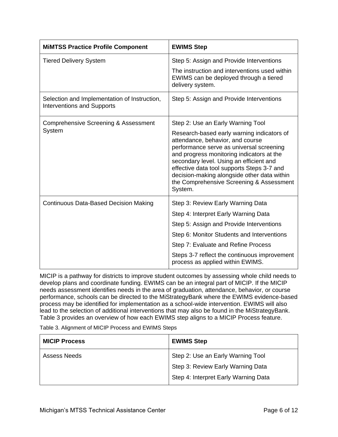| <b>MIMTSS Practice Profile Component</b>                                          | <b>EWIMS Step</b>                                                                                                                                                                                                                                                                                                                                                      |  |
|-----------------------------------------------------------------------------------|------------------------------------------------------------------------------------------------------------------------------------------------------------------------------------------------------------------------------------------------------------------------------------------------------------------------------------------------------------------------|--|
| <b>Tiered Delivery System</b>                                                     | Step 5: Assign and Provide Interventions                                                                                                                                                                                                                                                                                                                               |  |
|                                                                                   | The instruction and interventions used within<br>EWIMS can be deployed through a tiered<br>delivery system.                                                                                                                                                                                                                                                            |  |
| Selection and Implementation of Instruction,<br><b>Interventions and Supports</b> | Step 5: Assign and Provide Interventions                                                                                                                                                                                                                                                                                                                               |  |
| Comprehensive Screening & Assessment                                              | Step 2: Use an Early Warning Tool                                                                                                                                                                                                                                                                                                                                      |  |
| System                                                                            | Research-based early warning indicators of<br>attendance, behavior, and course<br>performance serve as universal screening<br>and progress monitoring indicators at the<br>secondary level. Using an efficient and<br>effective data tool supports Steps 3-7 and<br>decision-making alongside other data within<br>the Comprehensive Screening & Assessment<br>System. |  |
| <b>Continuous Data-Based Decision Making</b>                                      | Step 3: Review Early Warning Data                                                                                                                                                                                                                                                                                                                                      |  |
|                                                                                   | Step 4: Interpret Early Warning Data                                                                                                                                                                                                                                                                                                                                   |  |
|                                                                                   | Step 5: Assign and Provide Interventions                                                                                                                                                                                                                                                                                                                               |  |
|                                                                                   | Step 6: Monitor Students and Interventions                                                                                                                                                                                                                                                                                                                             |  |
|                                                                                   | Step 7: Evaluate and Refine Process                                                                                                                                                                                                                                                                                                                                    |  |
|                                                                                   | Steps 3-7 reflect the continuous improvement<br>process as applied within EWIMS.                                                                                                                                                                                                                                                                                       |  |

MICIP is a pathway for districts to improve student outcomes by assessing whole child needs to develop plans and coordinate funding. EWIMS can be an integral part of MICIP. If the MICIP needs assessment identifies needs in the area of graduation, attendance, behavior, or course performance, schools can be directed to the MiStrategyBank where the EWIMS evidence-based process may be identified for implementation as a school-wide intervention. EWIMS will also lead to the selection of additional interventions that may also be found in the MiStrategyBank. Table 3 provides an overview of how each EWIMS step aligns to a MICIP Process feature.

Table 3. Alignment of MICIP Process and EWIMS Steps

| <b>MICIP Process</b> | <b>EWIMS Step</b>                    |
|----------------------|--------------------------------------|
| Assess Needs         | Step 2: Use an Early Warning Tool    |
|                      | Step 3: Review Early Warning Data    |
|                      | Step 4: Interpret Early Warning Data |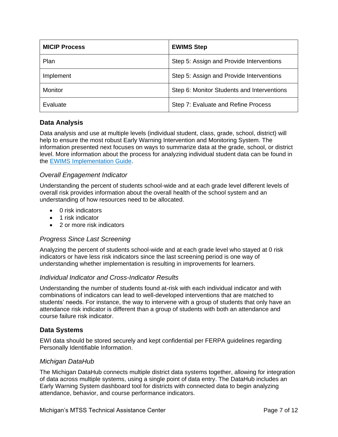| <b>MICIP Process</b> | <b>EWIMS Step</b>                          |
|----------------------|--------------------------------------------|
| Plan                 | Step 5: Assign and Provide Interventions   |
| Implement            | Step 5: Assign and Provide Interventions   |
| <b>Monitor</b>       | Step 6: Monitor Students and Interventions |
| Evaluate             | Step 7: Evaluate and Refine Process        |

#### <span id="page-6-0"></span>**Data Analysis**

Data analysis and use at multiple levels (individual student, class, grade, school, district) will help to ensure the most robust Early Warning Intervention and Monitoring System. The information presented next focuses on ways to summarize data at the grade, school, or district level. More information about the process for analyzing individual student data can be found in the [EWIMS Implementation Guide.](https://www.michigan.gov/documents/mde/Michigan_EWIMS_Implementation_Guide_606186_7.pdf)

#### *Overall Engagement Indicator*

Understanding the percent of students school-wide and at each grade level different levels of overall risk provides information about the overall health of the school system and an understanding of how resources need to be allocated.

- 0 risk indicators
- 1 risk indicator
- 2 or more risk indicators

#### *Progress Since Last Screening*

Analyzing the percent of students school-wide and at each grade level who stayed at 0 risk indicators or have less risk indicators since the last screening period is one way of understanding whether implementation is resulting in improvements for learners.

#### *Individual Indicator and Cross-Indicator Results*

Understanding the number of students found at-risk with each individual indicator and with combinations of indicators can lead to well-developed interventions that are matched to students' needs. For instance, the way to intervene with a group of students that only have an attendance risk indicator is different than a group of students with both an attendance and course failure risk indicator.

#### <span id="page-6-1"></span>**Data Systems**

EWI data should be stored securely and kept confidential per FERPA guidelines regarding Personally Identifiable Information.

#### *Michigan DataHub*

The Michigan DataHub connects multiple district data systems together, allowing for integration of data across multiple systems, using a single point of data entry. The DataHub includes an Early Warning System dashboard tool for districts with connected data to begin analyzing attendance, behavior, and course performance indicators.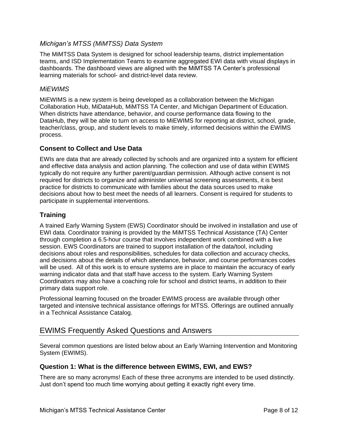#### *Michigan's MTSS (MiMTSS) Data System*

The MiMTSS Data System is designed for school leadership teams, district implementation teams, and ISD Implementation Teams to examine aggregated EWI data with visual displays in dashboards. The dashboard views are aligned with the MiMTSS TA Center's professional learning materials for school- and district-level data review.

#### *MiEWIMS*

MiEWIMS is a new system is being developed as a collaboration between the Michigan Collaboration Hub, MiDataHub, MiMTSS TA Center, and Michigan Department of Education. When districts have attendance, behavior, and course performance data flowing to the DataHub, they will be able to turn on access to MiEWIMS for reporting at district, school, grade, teacher/class, group, and student levels to make timely, informed decisions within the EWIMS process.

#### <span id="page-7-0"></span>**Consent to Collect and Use Data**

EWIs are data that are already collected by schools and are organized into a system for efficient and effective data analysis and action planning. The collection and use of data within EWIMS typically do not require any further parent/guardian permission. Although active consent is not required for districts to organize and administer universal screening assessments, it is best practice for districts to communicate with families about the data sources used to make decisions about how to best meet the needs of all learners. Consent is required for students to participate in supplemental interventions.

#### <span id="page-7-1"></span>**Training**

A trained Early Warning System (EWS) Coordinator should be involved in installation and use of EWI data. Coordinator training is provided by the MiMTSS Technical Assistance (TA) Center through completion a 6.5-hour course that involves independent work combined with a live session. EWS Coordinators are trained to support installation of the data/tool, including decisions about roles and responsibilities, schedules for data collection and accuracy checks, and decisions about the details of which attendance, behavior, and course performances codes will be used. All of this work is to ensure systems are in place to maintain the accuracy of early warning indicator data and that staff have access to the system. Early Warning System Coordinators may also have a coaching role for school and district teams, in addition to their primary data support role.

Professional learning focused on the broader EWIMS process are available through other targeted and intensive technical assistance offerings for MTSS. Offerings are outlined annually in a Technical Assistance Catalog.

## <span id="page-7-2"></span>EWIMS Frequently Asked Questions and Answers

Several common questions are listed below about an Early Warning Intervention and Monitoring System (EWIMS).

#### <span id="page-7-3"></span>**Question 1: What is the difference between EWIMS, EWI, and EWS?**

There are so many acronyms! Each of these three acronyms are intended to be used distinctly. Just don't spend too much time worrying about getting it exactly right every time.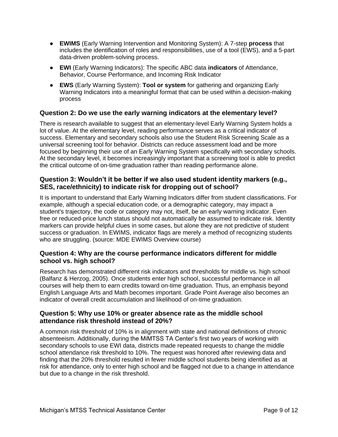- **EWIMS** (Early Warning Intervention and Monitoring System): A 7-step **process** that includes the identification of roles and responsibilities, use of a tool (EWS), and a 5-part data-driven problem-solving process.
- **EWI** (Early Warning Indicators): The specific ABC data **indicators** of Attendance, Behavior, Course Performance, and Incoming Risk Indicator
- **EWS** (Early Warning System): **Tool or system** for gathering and organizing Early Warning Indicators into a meaningful format that can be used within a decision-making process

#### <span id="page-8-0"></span>**Question 2: Do we use the early warning indicators at the elementary level?**

There is research available to suggest that an elementary-level Early Warning System holds a lot of value. At the elementary level, reading performance serves as a critical indicator of success. Elementary and secondary schools also use the Student Risk Screening Scale as a universal screening tool for behavior. Districts can reduce assessment load and be more focused by beginning their use of an Early Warning System specifically with secondary schools. At the secondary level, it becomes increasingly important that a screening tool is able to predict the critical outcome of on-time graduation rather than reading performance alone.

#### <span id="page-8-1"></span>**Question 3: Wouldn't it be better if we also used student identity markers (e.g., SES, race/ethnicity) to indicate risk for dropping out of school?**

It is important to understand that Early Warning Indicators differ from student classifications. For example, although a special education code, or a demographic category, may impact a student's trajectory, the code or category may not, itself, be an early warning indicator. Even free or reduced-price lunch status should not automatically be assumed to indicate risk. Identity markers can provide helpful clues in some cases, but alone they are not predictive of student success or graduation. In EWIMS, indicator flags are merely a method of recognizing students who are struggling. (source: MDE EWIMS Overview course)

#### <span id="page-8-2"></span>**Question 4: Why are the course performance indicators different for middle school vs. high school?**

Research has demonstrated different risk indicators and thresholds for middle vs. high school (Balfanz & Herzog, 2005). Once students enter high school, successful performance in all courses will help them to earn credits toward on-time graduation. Thus, an emphasis beyond English Language Arts and Math becomes important. Grade Point Average also becomes an indicator of overall credit accumulation and likelihood of on-time graduation.

#### <span id="page-8-3"></span>**Question 5: Why use 10% or greater absence rate as the middle school attendance risk threshold instead of 20%?**

A common risk threshold of 10% is in alignment with state and national definitions of chronic absenteeism. Additionally, during the MiMTSS TA Center's first two years of working with secondary schools to use EWI data, districts made repeated requests to change the middle school attendance risk threshold to 10%. The request was honored after reviewing data and finding that the 20% threshold resulted in fewer middle school students being identified as at risk for attendance, only to enter high school and be flagged not due to a change in attendance but due to a change in the risk threshold.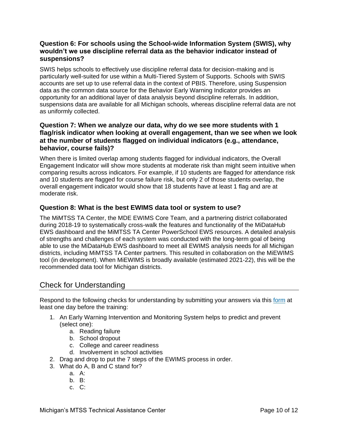#### <span id="page-9-0"></span>**Question 6: For schools using the School-wide Information System (SWIS), why wouldn't we use discipline referral data as the behavior indicator instead of suspensions?**

SWIS helps schools to effectively use discipline referral data for decision-making and is particularly well-suited for use within a Multi-Tiered System of Supports. Schools with SWIS accounts are set up to use referral data in the context of PBIS. Therefore, using Suspension data as the common data source for the Behavior Early Warning Indicator provides an opportunity for an additional layer of data analysis beyond discipline referrals. In addition, suspensions data are available for all Michigan schools, whereas discipline referral data are not as uniformly collected.

#### <span id="page-9-1"></span>**Question 7: When we analyze our data, why do we see more students with 1 flag/risk indicator when looking at overall engagement, than we see when we look at the number of students flagged on individual indicators (e.g., attendance, behavior, course fails)?**

When there is limited overlap among students flagged for individual indicators, the Overall Engagement Indicator will show more students at moderate risk than might seem intuitive when comparing results across indicators. For example, if 10 students are flagged for attendance risk and 10 students are flagged for course failure risk, but only 2 of those students overlap, the overall engagement indicator would show that 18 students have at least 1 flag and are at moderate risk.

#### <span id="page-9-2"></span>**Question 8: What is the best EWIMS data tool or system to use?**

The MiMTSS TA Center, the MDE EWIMS Core Team, and a partnering district collaborated during 2018-19 to systematically cross-walk the features and functionality of the MiDataHub EWS dashboard and the MiMTSS TA Center PowerSchool EWS resources. A detailed analysis of strengths and challenges of each system was conducted with the long-term goal of being able to use the MiDataHub EWS dashboard to meet all EWIMS analysis needs for all Michigan districts, including MiMTSS TA Center partners. This resulted in collaboration on the MiEWIMS tool (in development). When MiEWIMS is broadly available (estimated 2021-22), this will be the recommended data tool for Michigan districts.

## <span id="page-9-3"></span>Check for Understanding

Respond to the following checks for understanding by submitting your answers via this [form](https://www.surveygizmo.com/s3/5701363/EWIMS-Reading-Packet-Check-for-Understanding) at least one day before the training:

- 1. An Early Warning Intervention and Monitoring System helps to predict and prevent (select one):
	- a. Reading failure
	- b. School dropout
	- c. College and career readiness
	- d. Involvement in school activities
- 2. Drag and drop to put the 7 steps of the EWIMS process in order.
- 3. What do A, B and C stand for?
	- a. A:
	- b. B:
	- c. C: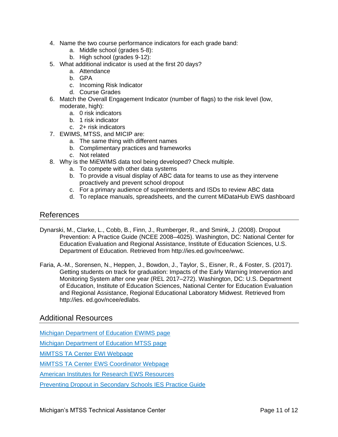- 4. Name the two course performance indicators for each grade band:
	- a. Middle school (grades 5-8):
	- b. High school (grades 9-12):
- 5. What additional indicator is used at the first 20 days?
	- a. Attendance
	- b. GPA
	- c. Incoming Risk Indicator
	- d. Course Grades
- 6. Match the Overall Engagement Indicator (number of flags) to the risk level (low, moderate, high):
	- a. 0 risk indicators
	- b. 1 risk indicator
	- c. 2+ risk indicators
- 7. EWIMS, MTSS, and MICIP are:
	- a. The same thing with different names
	- b. Complimentary practices and frameworks
	- c. Not related
- 8. Why is the MiEWIMS data tool being developed? Check multiple.
	- a. To compete with other data systems
	- b. To provide a visual display of ABC data for teams to use as they intervene proactively and prevent school dropout
	- c. For a primary audience of superintendents and ISDs to review ABC data
	- d. To replace manuals, spreadsheets, and the current MiDataHub EWS dashboard

#### <span id="page-10-0"></span>References

- Dynarski, M., Clarke, L., Cobb, B., Finn, J., Rumberger, R., and Smink, J. (2008). Dropout Prevention: A Practice Guide (NCEE 2008–4025). Washington, DC: National Center for Education Evaluation and Regional Assistance, Institute of Education Sciences, U.S. Department of Education. Retrieved from http://ies.ed.gov/ncee/wwc.
- Faria, A.-M., Sorensen, N., Heppen, J., Bowdon, J., Taylor, S., Eisner, R., & Foster, S. (2017). Getting students on track for graduation: Impacts of the Early Warning Intervention and Monitoring System after one year (REL 2017–272). Washington, DC: U.S. Department of Education, Institute of Education Sciences, National Center for Education Evaluation and Regional Assistance, Regional Educational Laboratory Midwest. Retrieved from http://ies. ed.gov/ncee/edlabs.

### <span id="page-10-1"></span>Additional Resources

[Michigan Department of Education EWIMS page](https://www.michigan.gov/mde/0,4615,7-140-81376_83587---,00.html)

[Michigan Department of Education MTSS page](https://www.michigan.gov/mde/0,4615,7-140-28753_65803_86454---,00.html)

[MiMTSS TA Center EWI Webpage](https://mimtsstac.org/evaluation/student-assessments/early-warning-indicators)

MiMTSS TA Center [EWS Coordinator Webpage](https://mimtsstac.org/teams-roles/specialized-functions/data-coordinators/early-warning-system-coordinator)

[American Institutes for Research EWS Resources](http://www.earlywarningsystems.org/resources/)

[Preventing Dropout in Secondary Schools](https://ies.ed.gov/ncee/wwc/PracticeGuide/24) IES Practice Guide